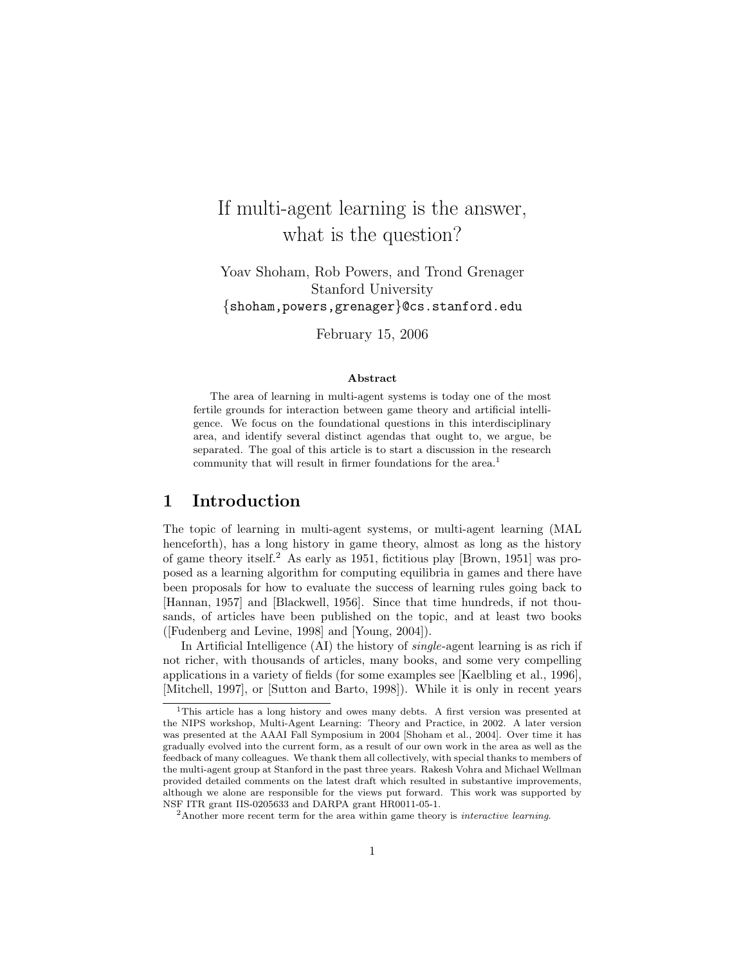# If multi-agent learning is the answer, what is the question?

Yoav Shoham, Rob Powers, and Trond Grenager Stanford University {shoham,powers,grenager}@cs.stanford.edu

February 15, 2006

#### Abstract

The area of learning in multi-agent systems is today one of the most fertile grounds for interaction between game theory and artificial intelligence. We focus on the foundational questions in this interdisciplinary area, and identify several distinct agendas that ought to, we argue, be separated. The goal of this article is to start a discussion in the research community that will result in firmer foundations for the area.<sup>1</sup>

# 1 Introduction

The topic of learning in multi-agent systems, or multi-agent learning (MAL henceforth), has a long history in game theory, almost as long as the history of game theory itself.<sup>2</sup> As early as 1951, fictitious play [Brown, 1951] was proposed as a learning algorithm for computing equilibria in games and there have been proposals for how to evaluate the success of learning rules going back to [Hannan, 1957] and [Blackwell, 1956]. Since that time hundreds, if not thousands, of articles have been published on the topic, and at least two books ([Fudenberg and Levine, 1998] and [Young, 2004]).

In Artificial Intelligence (AI) the history of single-agent learning is as rich if not richer, with thousands of articles, many books, and some very compelling applications in a variety of fields (for some examples see [Kaelbling et al., 1996], [Mitchell, 1997], or [Sutton and Barto, 1998]). While it is only in recent years

<sup>1</sup>This article has a long history and owes many debts. A first version was presented at the NIPS workshop, Multi-Agent Learning: Theory and Practice, in 2002. A later version was presented at the AAAI Fall Symposium in 2004 [Shoham et al., 2004]. Over time it has gradually evolved into the current form, as a result of our own work in the area as well as the feedback of many colleagues. We thank them all collectively, with special thanks to members of the multi-agent group at Stanford in the past three years. Rakesh Vohra and Michael Wellman provided detailed comments on the latest draft which resulted in substantive improvements, although we alone are responsible for the views put forward. This work was supported by NSF ITR grant IIS-0205633 and DARPA grant HR0011-05-1.

<sup>&</sup>lt;sup>2</sup> Another more recent term for the area within game theory is *interactive learning*.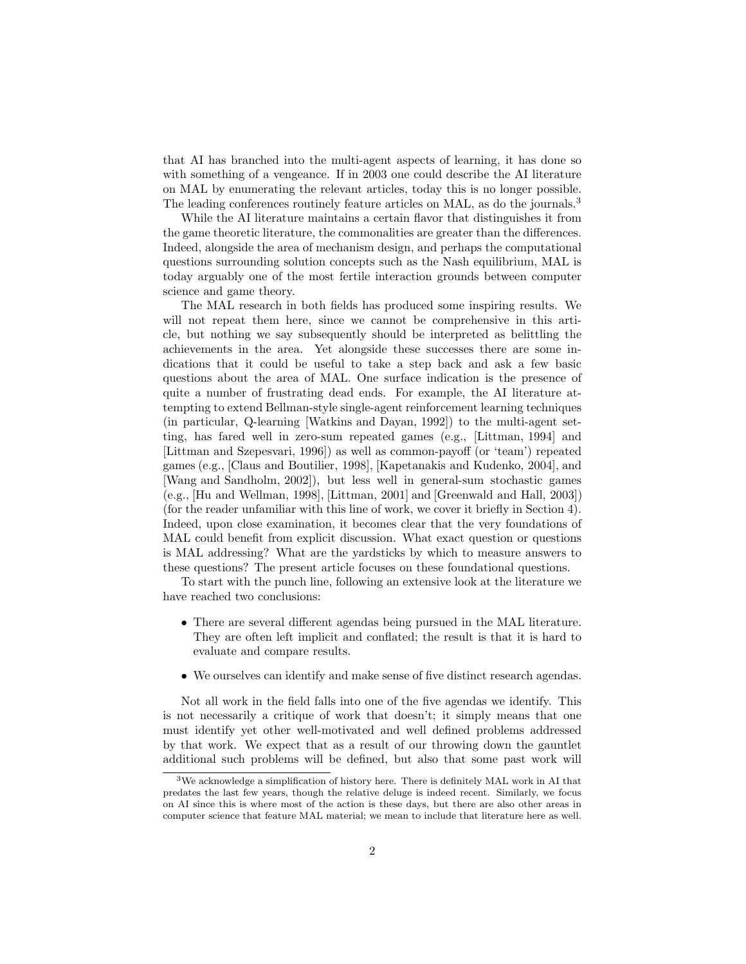that AI has branched into the multi-agent aspects of learning, it has done so with something of a vengeance. If in 2003 one could describe the AI literature on MAL by enumerating the relevant articles, today this is no longer possible. The leading conferences routinely feature articles on MAL, as do the journals.<sup>3</sup>

While the AI literature maintains a certain flavor that distinguishes it from the game theoretic literature, the commonalities are greater than the differences. Indeed, alongside the area of mechanism design, and perhaps the computational questions surrounding solution concepts such as the Nash equilibrium, MAL is today arguably one of the most fertile interaction grounds between computer science and game theory.

The MAL research in both fields has produced some inspiring results. We will not repeat them here, since we cannot be comprehensive in this article, but nothing we say subsequently should be interpreted as belittling the achievements in the area. Yet alongside these successes there are some indications that it could be useful to take a step back and ask a few basic questions about the area of MAL. One surface indication is the presence of quite a number of frustrating dead ends. For example, the AI literature attempting to extend Bellman-style single-agent reinforcement learning techniques (in particular, Q-learning [Watkins and Dayan, 1992]) to the multi-agent setting, has fared well in zero-sum repeated games (e.g., [Littman, 1994] and [Littman and Szepesvari, 1996]) as well as common-payoff (or 'team') repeated games (e.g., [Claus and Boutilier, 1998], [Kapetanakis and Kudenko, 2004], and [Wang and Sandholm, 2002]), but less well in general-sum stochastic games (e.g., [Hu and Wellman, 1998], [Littman, 2001] and [Greenwald and Hall, 2003]) (for the reader unfamiliar with this line of work, we cover it briefly in Section 4). Indeed, upon close examination, it becomes clear that the very foundations of MAL could benefit from explicit discussion. What exact question or questions is MAL addressing? What are the yardsticks by which to measure answers to these questions? The present article focuses on these foundational questions.

To start with the punch line, following an extensive look at the literature we have reached two conclusions:

- There are several different agendas being pursued in the MAL literature. They are often left implicit and conflated; the result is that it is hard to evaluate and compare results.
- We ourselves can identify and make sense of five distinct research agendas.

Not all work in the field falls into one of the five agendas we identify. This is not necessarily a critique of work that doesn't; it simply means that one must identify yet other well-motivated and well defined problems addressed by that work. We expect that as a result of our throwing down the gauntlet additional such problems will be defined, but also that some past work will

<sup>3</sup>We acknowledge a simplification of history here. There is definitely MAL work in AI that predates the last few years, though the relative deluge is indeed recent. Similarly, we focus on AI since this is where most of the action is these days, but there are also other areas in computer science that feature MAL material; we mean to include that literature here as well.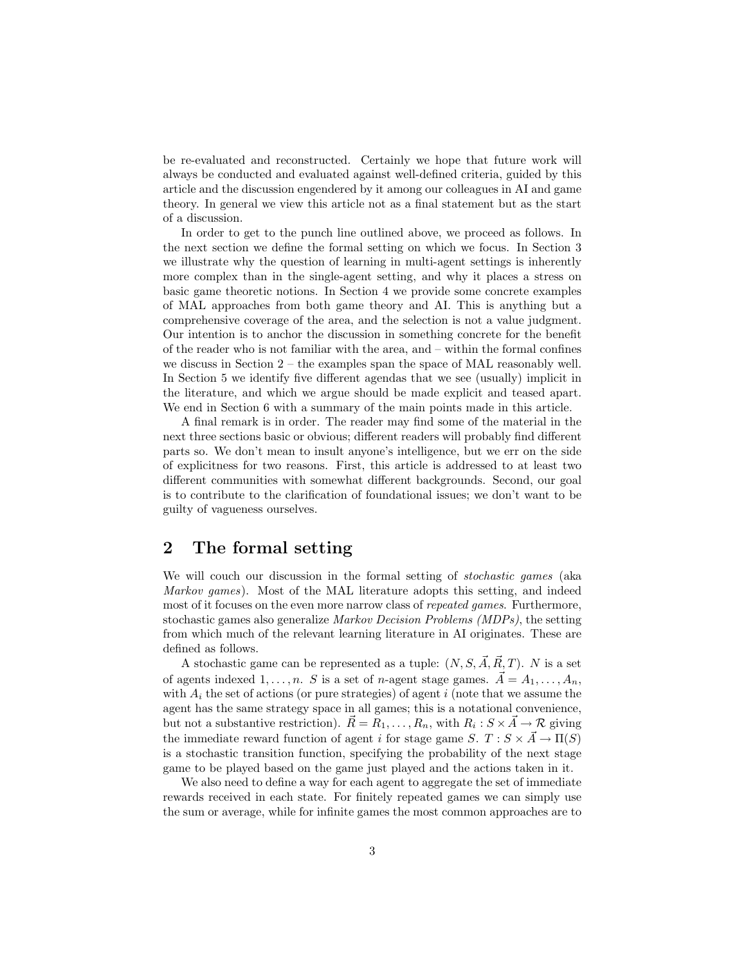be re-evaluated and reconstructed. Certainly we hope that future work will always be conducted and evaluated against well-defined criteria, guided by this article and the discussion engendered by it among our colleagues in AI and game theory. In general we view this article not as a final statement but as the start of a discussion.

In order to get to the punch line outlined above, we proceed as follows. In the next section we define the formal setting on which we focus. In Section 3 we illustrate why the question of learning in multi-agent settings is inherently more complex than in the single-agent setting, and why it places a stress on basic game theoretic notions. In Section 4 we provide some concrete examples of MAL approaches from both game theory and AI. This is anything but a comprehensive coverage of the area, and the selection is not a value judgment. Our intention is to anchor the discussion in something concrete for the benefit of the reader who is not familiar with the area, and – within the formal confines we discuss in Section  $2$  – the examples span the space of MAL reasonably well. In Section 5 we identify five different agendas that we see (usually) implicit in the literature, and which we argue should be made explicit and teased apart. We end in Section 6 with a summary of the main points made in this article.

A final remark is in order. The reader may find some of the material in the next three sections basic or obvious; different readers will probably find different parts so. We don't mean to insult anyone's intelligence, but we err on the side of explicitness for two reasons. First, this article is addressed to at least two different communities with somewhat different backgrounds. Second, our goal is to contribute to the clarification of foundational issues; we don't want to be guilty of vagueness ourselves.

# 2 The formal setting

We will couch our discussion in the formal setting of *stochastic games* (aka Markov games). Most of the MAL literature adopts this setting, and indeed most of it focuses on the even more narrow class of repeated games. Furthermore, stochastic games also generalize Markov Decision Problems (MDPs), the setting from which much of the relevant learning literature in AI originates. These are defined as follows.

A stochastic game can be represented as a tuple:  $(N, S, \vec{A}, \vec{R}, T)$ . N is a set of agents indexed  $1, \ldots, n$ . S is a set of *n*-agent stage games.  $\vec{A} = A_1, \ldots, A_n$ , with  $A_i$  the set of actions (or pure strategies) of agent i (note that we assume the agent has the same strategy space in all games; this is a notational convenience, but not a substantive restriction).  $\vec{R} = \vec{R}_1, \ldots, \vec{R}_n$ , with  $R_i : S \times \vec{A} \to \mathcal{R}$  giving the immediate reward function of agent i for stage game S.  $T : S \times \vec{A} \to \Pi(S)$ is a stochastic transition function, specifying the probability of the next stage game to be played based on the game just played and the actions taken in it.

We also need to define a way for each agent to aggregate the set of immediate rewards received in each state. For finitely repeated games we can simply use the sum or average, while for infinite games the most common approaches are to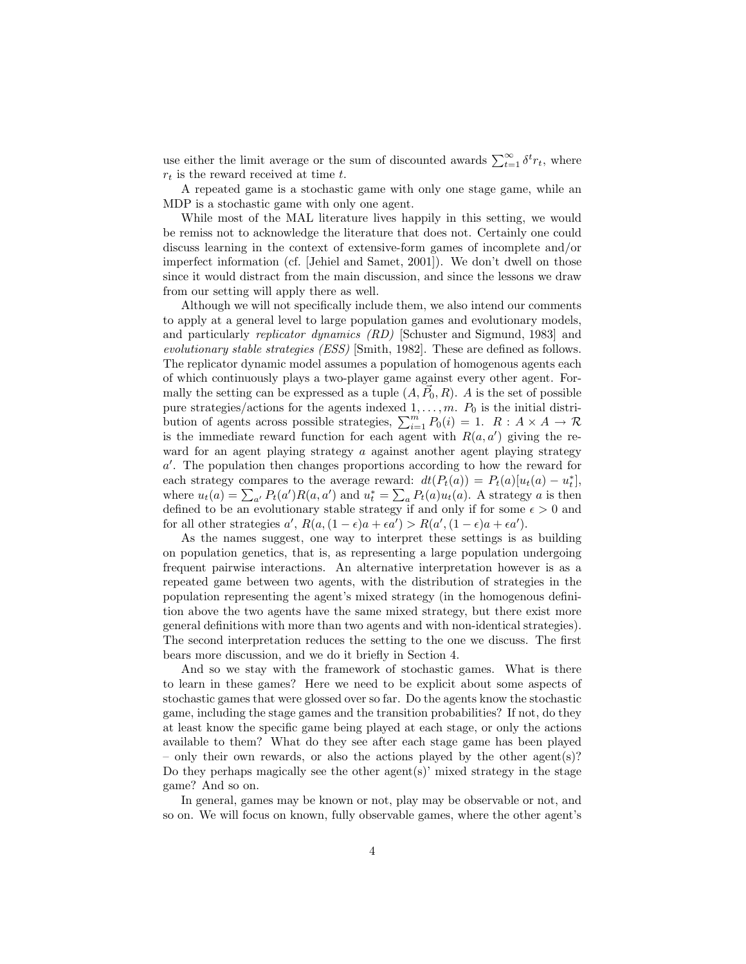use either the limit average or the sum of discounted awards  $\sum_{t=1}^{\infty} \delta^t r_t$ , where  $r_t$  is the reward received at time t.

A repeated game is a stochastic game with only one stage game, while an MDP is a stochastic game with only one agent.

While most of the MAL literature lives happily in this setting, we would be remiss not to acknowledge the literature that does not. Certainly one could discuss learning in the context of extensive-form games of incomplete and/or imperfect information (cf. [Jehiel and Samet, 2001]). We don't dwell on those since it would distract from the main discussion, and since the lessons we draw from our setting will apply there as well.

Although we will not specifically include them, we also intend our comments to apply at a general level to large population games and evolutionary models, and particularly replicator dynamics (RD) [Schuster and Sigmund, 1983] and evolutionary stable strategies (ESS) [Smith, 1982]. These are defined as follows. The replicator dynamic model assumes a population of homogenous agents each of which continuously plays a two-player game against every other agent. Formally the setting can be expressed as a tuple  $(A, \vec{P}_0, R)$ . A is the set of possible pure strategies/actions for the agents indexed  $1, \ldots, m$ .  $P_0$  is the initial distribution of agents across possible strategies,  $\sum_{i=1}^{m} P_0(i) = 1$ .  $R : A \times A \rightarrow \mathcal{R}$ is the immediate reward function for each agent with  $R(a, a')$  giving the reward for an agent playing strategy a against another agent playing strategy a ′ . The population then changes proportions according to how the reward for each strategy compares to the average reward:  $dt(P_t(a)) = P_t(a)[u_t(a) - u_t^*],$ where  $u_t(a) = \sum_{a'} P_t(a')R(a, a')$  and  $u_t^* = \sum_a P_t(a)u_t(a)$ . A strategy a is then defined to be an evolutionary stable strategy if and only if for some  $\epsilon > 0$  and for all other strategies  $a', R(a, (1 - \epsilon)a + \epsilon a') > R(a', (1 - \epsilon)a + \epsilon a')$ .

As the names suggest, one way to interpret these settings is as building on population genetics, that is, as representing a large population undergoing frequent pairwise interactions. An alternative interpretation however is as a repeated game between two agents, with the distribution of strategies in the population representing the agent's mixed strategy (in the homogenous definition above the two agents have the same mixed strategy, but there exist more general definitions with more than two agents and with non-identical strategies). The second interpretation reduces the setting to the one we discuss. The first bears more discussion, and we do it briefly in Section 4.

And so we stay with the framework of stochastic games. What is there to learn in these games? Here we need to be explicit about some aspects of stochastic games that were glossed over so far. Do the agents know the stochastic game, including the stage games and the transition probabilities? If not, do they at least know the specific game being played at each stage, or only the actions available to them? What do they see after each stage game has been played – only their own rewards, or also the actions played by the other agent(s)? Do they perhaps magically see the other agent(s)' mixed strategy in the stage game? And so on.

In general, games may be known or not, play may be observable or not, and so on. We will focus on known, fully observable games, where the other agent's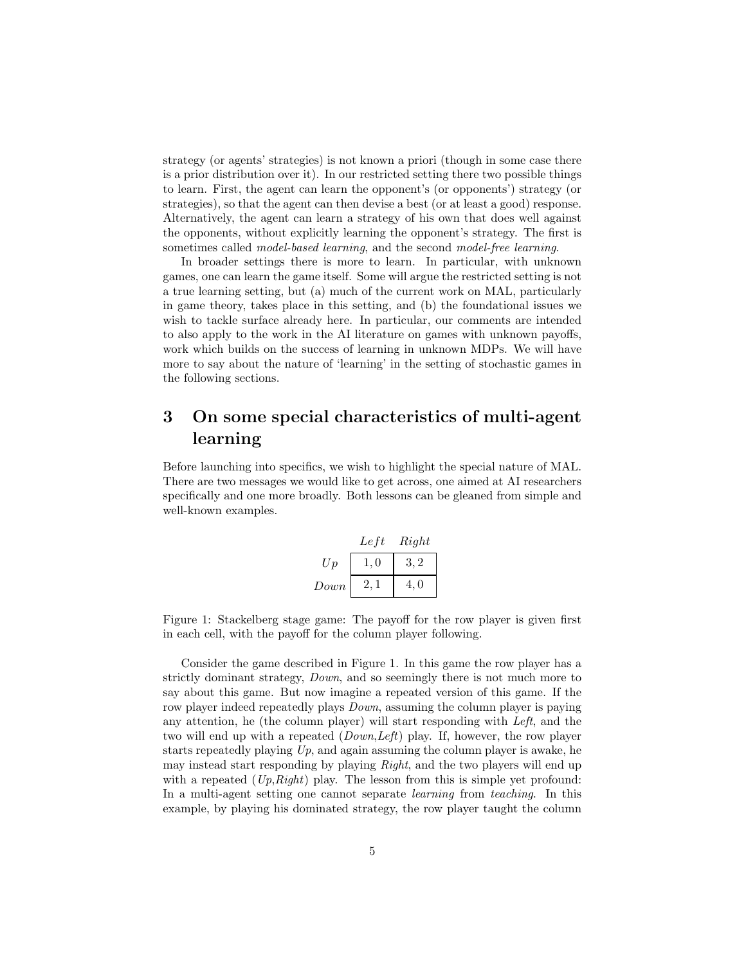strategy (or agents' strategies) is not known a priori (though in some case there is a prior distribution over it). In our restricted setting there two possible things to learn. First, the agent can learn the opponent's (or opponents') strategy (or strategies), so that the agent can then devise a best (or at least a good) response. Alternatively, the agent can learn a strategy of his own that does well against the opponents, without explicitly learning the opponent's strategy. The first is sometimes called *model-based learning*, and the second *model-free learning*.

In broader settings there is more to learn. In particular, with unknown games, one can learn the game itself. Some will argue the restricted setting is not a true learning setting, but (a) much of the current work on MAL, particularly in game theory, takes place in this setting, and (b) the foundational issues we wish to tackle surface already here. In particular, our comments are intended to also apply to the work in the AI literature on games with unknown payoffs, work which builds on the success of learning in unknown MDPs. We will have more to say about the nature of 'learning' in the setting of stochastic games in the following sections.

# 3 On some special characteristics of multi-agent learning

Before launching into specifics, we wish to highlight the special nature of MAL. There are two messages we would like to get across, one aimed at AI researchers specifically and one more broadly. Both lessons can be gleaned from simple and well-known examples.

|      | Left | Right |
|------|------|-------|
| Up   | 1,0  | 3, 2  |
| Down |      | 4,0   |

Figure 1: Stackelberg stage game: The payoff for the row player is given first in each cell, with the payoff for the column player following.

Consider the game described in Figure 1. In this game the row player has a strictly dominant strategy, Down, and so seemingly there is not much more to say about this game. But now imagine a repeated version of this game. If the row player indeed repeatedly plays *Down*, assuming the column player is paying any attention, he (the column player) will start responding with Left, and the two will end up with a repeated (*Down,Left*) play. If, however, the row player starts repeatedly playing  $Up$ , and again assuming the column player is awake, he may instead start responding by playing Right, and the two players will end up with a repeated  $(Up, Right)$  play. The lesson from this is simple yet profound: In a multi-agent setting one cannot separate *learning* from *teaching*. In this example, by playing his dominated strategy, the row player taught the column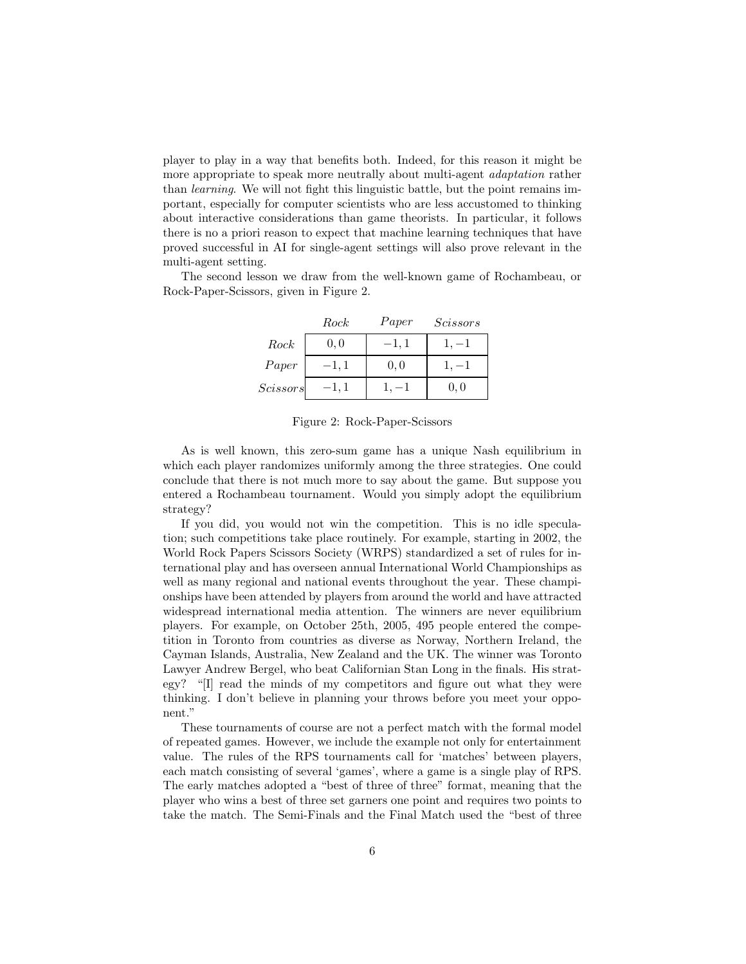player to play in a way that benefits both. Indeed, for this reason it might be more appropriate to speak more neutrally about multi-agent adaptation rather than learning. We will not fight this linguistic battle, but the point remains important, especially for computer scientists who are less accustomed to thinking about interactive considerations than game theorists. In particular, it follows there is no a priori reason to expect that machine learning techniques that have proved successful in AI for single-agent settings will also prove relevant in the multi-agent setting.

The second lesson we draw from the well-known game of Rochambeau, or Rock-Paper-Scissors, given in Figure 2.

|                | Rock   | Paper  | <i>Scissors</i> |
|----------------|--------|--------|-----------------|
| Rock           | 0,0    | $-1,1$ |                 |
| Paper          | $-1,1$ | 0, 0   |                 |
| $\it Scissors$ |        |        | 0.0             |

Figure 2: Rock-Paper-Scissors

As is well known, this zero-sum game has a unique Nash equilibrium in which each player randomizes uniformly among the three strategies. One could conclude that there is not much more to say about the game. But suppose you entered a Rochambeau tournament. Would you simply adopt the equilibrium strategy?

If you did, you would not win the competition. This is no idle speculation; such competitions take place routinely. For example, starting in 2002, the World Rock Papers Scissors Society (WRPS) standardized a set of rules for international play and has overseen annual International World Championships as well as many regional and national events throughout the year. These championships have been attended by players from around the world and have attracted widespread international media attention. The winners are never equilibrium players. For example, on October 25th, 2005, 495 people entered the competition in Toronto from countries as diverse as Norway, Northern Ireland, the Cayman Islands, Australia, New Zealand and the UK. The winner was Toronto Lawyer Andrew Bergel, who beat Californian Stan Long in the finals. His strategy? "[I] read the minds of my competitors and figure out what they were thinking. I don't believe in planning your throws before you meet your opponent."

These tournaments of course are not a perfect match with the formal model of repeated games. However, we include the example not only for entertainment value. The rules of the RPS tournaments call for 'matches' between players, each match consisting of several 'games', where a game is a single play of RPS. The early matches adopted a "best of three of three" format, meaning that the player who wins a best of three set garners one point and requires two points to take the match. The Semi-Finals and the Final Match used the "best of three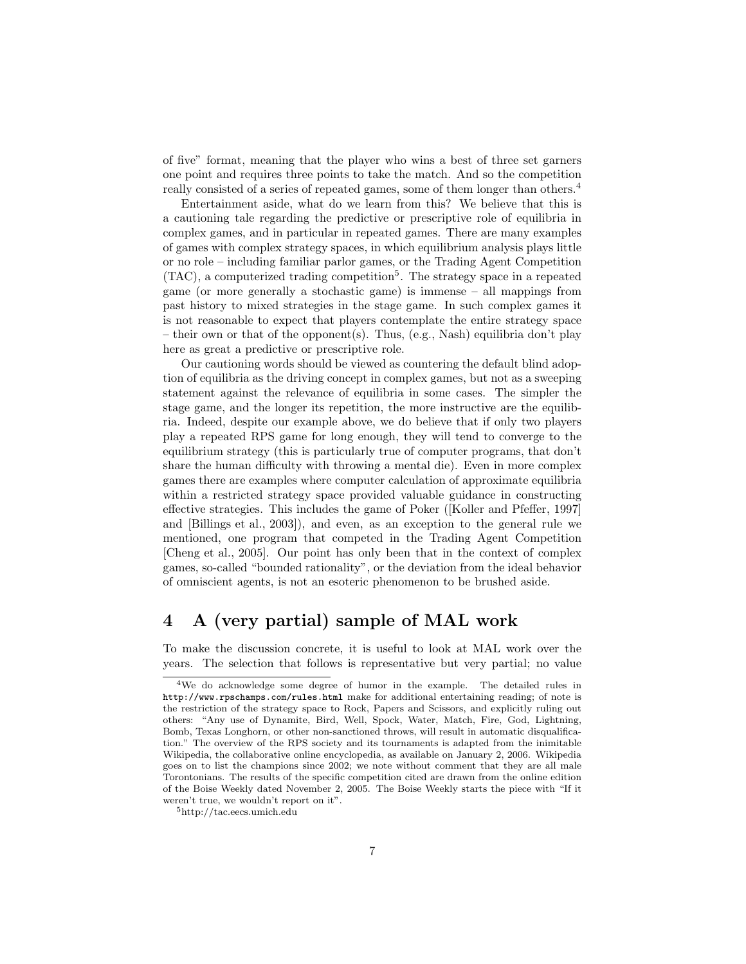of five" format, meaning that the player who wins a best of three set garners one point and requires three points to take the match. And so the competition really consisted of a series of repeated games, some of them longer than others.<sup>4</sup>

Entertainment aside, what do we learn from this? We believe that this is a cautioning tale regarding the predictive or prescriptive role of equilibria in complex games, and in particular in repeated games. There are many examples of games with complex strategy spaces, in which equilibrium analysis plays little or no role – including familiar parlor games, or the Trading Agent Competition (TAC), a computerized trading competition<sup>5</sup>. The strategy space in a repeated game (or more generally a stochastic game) is immense – all mappings from past history to mixed strategies in the stage game. In such complex games it is not reasonable to expect that players contemplate the entire strategy space – their own or that of the opponent(s). Thus, (e.g., Nash) equilibria don't play here as great a predictive or prescriptive role.

Our cautioning words should be viewed as countering the default blind adoption of equilibria as the driving concept in complex games, but not as a sweeping statement against the relevance of equilibria in some cases. The simpler the stage game, and the longer its repetition, the more instructive are the equilibria. Indeed, despite our example above, we do believe that if only two players play a repeated RPS game for long enough, they will tend to converge to the equilibrium strategy (this is particularly true of computer programs, that don't share the human difficulty with throwing a mental die). Even in more complex games there are examples where computer calculation of approximate equilibria within a restricted strategy space provided valuable guidance in constructing effective strategies. This includes the game of Poker ([Koller and Pfeffer, 1997] and [Billings et al., 2003]), and even, as an exception to the general rule we mentioned, one program that competed in the Trading Agent Competition [Cheng et al., 2005]. Our point has only been that in the context of complex games, so-called "bounded rationality", or the deviation from the ideal behavior of omniscient agents, is not an esoteric phenomenon to be brushed aside.

# 4 A (very partial) sample of MAL work

To make the discussion concrete, it is useful to look at MAL work over the years. The selection that follows is representative but very partial; no value

<sup>4</sup>We do acknowledge some degree of humor in the example. The detailed rules in http://www.rpschamps.com/rules.html make for additional entertaining reading; of note is the restriction of the strategy space to Rock, Papers and Scissors, and explicitly ruling out others: "Any use of Dynamite, Bird, Well, Spock, Water, Match, Fire, God, Lightning, Bomb, Texas Longhorn, or other non-sanctioned throws, will result in automatic disqualification." The overview of the RPS society and its tournaments is adapted from the inimitable Wikipedia, the collaborative online encyclopedia, as available on January 2, 2006. Wikipedia goes on to list the champions since 2002; we note without comment that they are all male Torontonians. The results of the specific competition cited are drawn from the online edition of the Boise Weekly dated November 2, 2005. The Boise Weekly starts the piece with "If it weren't true, we wouldn't report on it".

<sup>5</sup>http://tac.eecs.umich.edu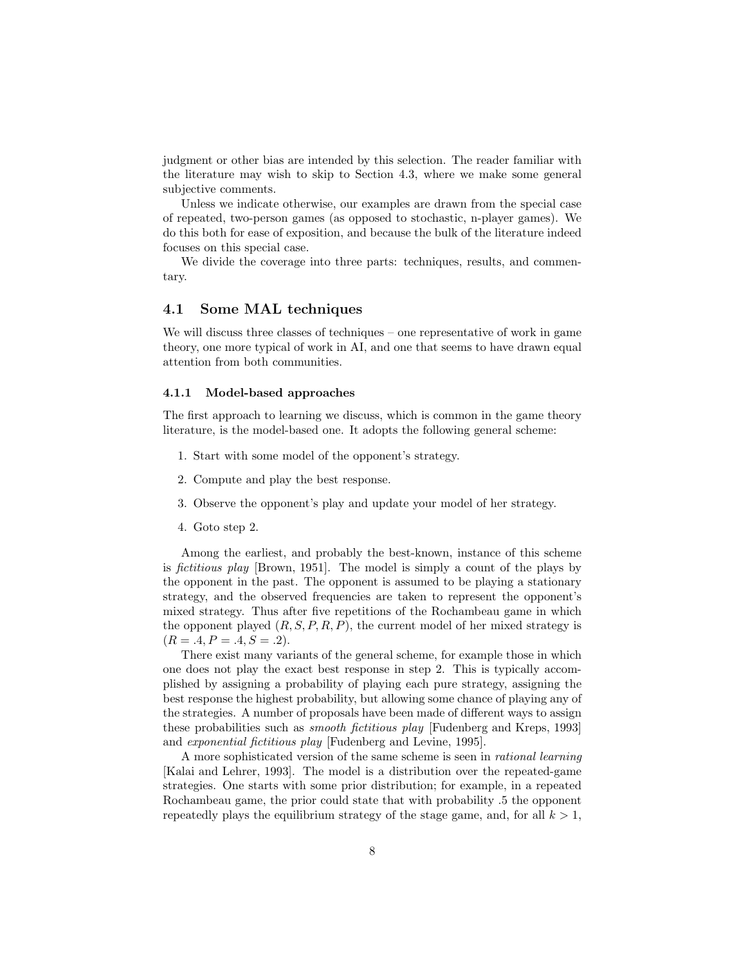judgment or other bias are intended by this selection. The reader familiar with the literature may wish to skip to Section 4.3, where we make some general subjective comments.

Unless we indicate otherwise, our examples are drawn from the special case of repeated, two-person games (as opposed to stochastic, n-player games). We do this both for ease of exposition, and because the bulk of the literature indeed focuses on this special case.

We divide the coverage into three parts: techniques, results, and commentary.

### 4.1 Some MAL techniques

We will discuss three classes of techniques – one representative of work in game theory, one more typical of work in AI, and one that seems to have drawn equal attention from both communities.

### 4.1.1 Model-based approaches

The first approach to learning we discuss, which is common in the game theory literature, is the model-based one. It adopts the following general scheme:

- 1. Start with some model of the opponent's strategy.
- 2. Compute and play the best response.
- 3. Observe the opponent's play and update your model of her strategy.
- 4. Goto step 2.

Among the earliest, and probably the best-known, instance of this scheme is fictitious play [Brown, 1951]. The model is simply a count of the plays by the opponent in the past. The opponent is assumed to be playing a stationary strategy, and the observed frequencies are taken to represent the opponent's mixed strategy. Thus after five repetitions of the Rochambeau game in which the opponent played  $(R, S, P, R, P)$ , the current model of her mixed strategy is  $(R = .4, P = .4, S = .2).$ 

There exist many variants of the general scheme, for example those in which one does not play the exact best response in step 2. This is typically accomplished by assigning a probability of playing each pure strategy, assigning the best response the highest probability, but allowing some chance of playing any of the strategies. A number of proposals have been made of different ways to assign these probabilities such as smooth fictitious play [Fudenberg and Kreps, 1993] and exponential fictitious play [Fudenberg and Levine, 1995].

A more sophisticated version of the same scheme is seen in rational learning [Kalai and Lehrer, 1993]. The model is a distribution over the repeated-game strategies. One starts with some prior distribution; for example, in a repeated Rochambeau game, the prior could state that with probability .5 the opponent repeatedly plays the equilibrium strategy of the stage game, and, for all  $k > 1$ ,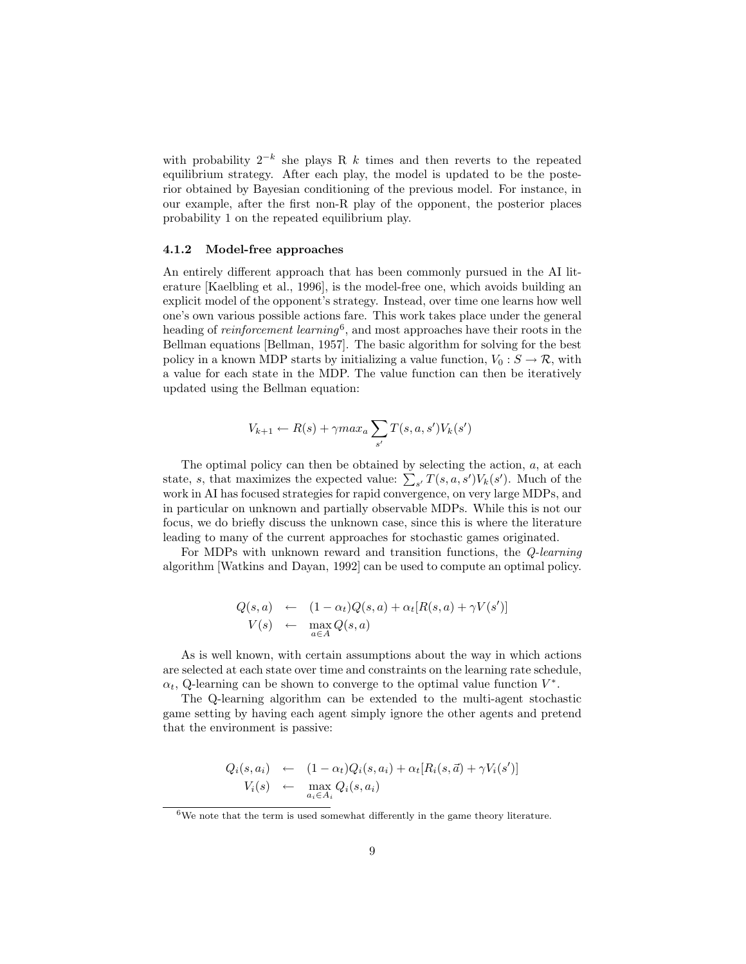with probability  $2^{-k}$  she plays R k times and then reverts to the repeated equilibrium strategy. After each play, the model is updated to be the posterior obtained by Bayesian conditioning of the previous model. For instance, in our example, after the first non-R play of the opponent, the posterior places probability 1 on the repeated equilibrium play.

#### 4.1.2 Model-free approaches

An entirely different approach that has been commonly pursued in the AI literature [Kaelbling et al., 1996], is the model-free one, which avoids building an explicit model of the opponent's strategy. Instead, over time one learns how well one's own various possible actions fare. This work takes place under the general heading of *reinforcement learning*<sup>6</sup>, and most approaches have their roots in the Bellman equations [Bellman, 1957]. The basic algorithm for solving for the best policy in a known MDP starts by initializing a value function,  $V_0: S \to \mathcal{R}$ , with a value for each state in the MDP. The value function can then be iteratively updated using the Bellman equation:

$$
V_{k+1} \leftarrow R(s) + \gamma max_a \sum_{s'} T(s, a, s') V_k(s')
$$

The optimal policy can then be obtained by selecting the action,  $a$ , at each state, s, that maximizes the expected value:  $\sum_{s'} T(s, a, s')V_k(s')$ . Much of the work in AI has focused strategies for rapid convergence, on very large MDPs, and in particular on unknown and partially observable MDPs. While this is not our focus, we do briefly discuss the unknown case, since this is where the literature leading to many of the current approaches for stochastic games originated.

For MDPs with unknown reward and transition functions, the Q-learning algorithm [Watkins and Dayan, 1992] can be used to compute an optimal policy.

$$
Q(s, a) \leftarrow (1 - \alpha_t)Q(s, a) + \alpha_t[R(s, a) + \gamma V(s')]
$$
  

$$
V(s) \leftarrow \max_{a \in A} Q(s, a)
$$

As is well known, with certain assumptions about the way in which actions are selected at each state over time and constraints on the learning rate schedule,  $\alpha_t$ , Q-learning can be shown to converge to the optimal value function  $V^*$ .

The Q-learning algorithm can be extended to the multi-agent stochastic game setting by having each agent simply ignore the other agents and pretend that the environment is passive:

$$
Q_i(s, a_i) \leftarrow (1 - \alpha_t) Q_i(s, a_i) + \alpha_t [R_i(s, \vec{a}) + \gamma V_i(s')]
$$
  

$$
V_i(s) \leftarrow \max_{a_i \in A_i} Q_i(s, a_i)
$$

 $6$ We note that the term is used somewhat differently in the game theory literature.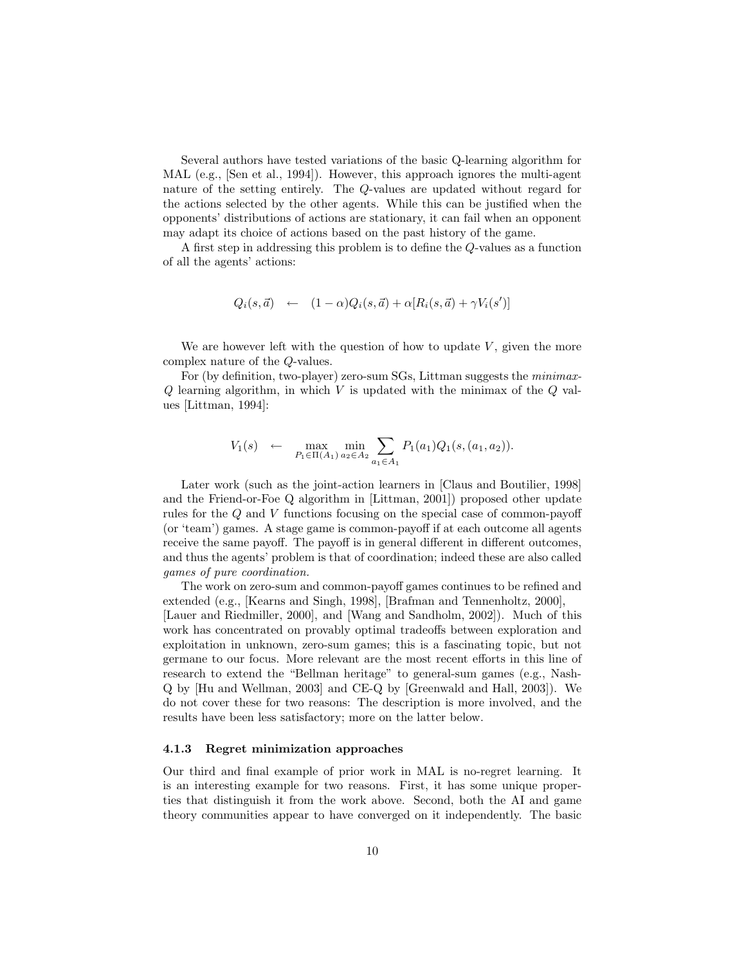Several authors have tested variations of the basic Q-learning algorithm for MAL (e.g., [Sen et al., 1994]). However, this approach ignores the multi-agent nature of the setting entirely. The Q-values are updated without regard for the actions selected by the other agents. While this can be justified when the opponents' distributions of actions are stationary, it can fail when an opponent may adapt its choice of actions based on the past history of the game.

A first step in addressing this problem is to define the Q-values as a function of all the agents' actions:

$$
Q_i(s, \vec{a}) \quad \leftarrow \quad (1 - \alpha) Q_i(s, \vec{a}) + \alpha [R_i(s, \vec{a}) + \gamma V_i(s')] \tag{9}
$$

We are however left with the question of how to update  $V$ , given the more complex nature of the Q-values.

For (by definition, two-player) zero-sum SGs, Littman suggests the minimax- $Q$  learning algorithm, in which  $V$  is updated with the minimax of the  $Q$  values [Littman, 1994]:

$$
V_1(s) \leftarrow \max_{P_1 \in \Pi(A_1)} \min_{a_2 \in A_2} \sum_{a_1 \in A_1} P_1(a_1) Q_1(s, (a_1, a_2)).
$$

Later work (such as the joint-action learners in [Claus and Boutilier, 1998] and the Friend-or-Foe Q algorithm in [Littman, 2001]) proposed other update rules for the Q and V functions focusing on the special case of common-payoff (or 'team') games. A stage game is common-payoff if at each outcome all agents receive the same payoff. The payoff is in general different in different outcomes, and thus the agents' problem is that of coordination; indeed these are also called games of pure coordination.

The work on zero-sum and common-payoff games continues to be refined and extended (e.g., [Kearns and Singh, 1998], [Brafman and Tennenholtz, 2000], [Lauer and Riedmiller, 2000], and [Wang and Sandholm, 2002]). Much of this work has concentrated on provably optimal tradeoffs between exploration and exploitation in unknown, zero-sum games; this is a fascinating topic, but not germane to our focus. More relevant are the most recent efforts in this line of research to extend the "Bellman heritage" to general-sum games (e.g., Nash-Q by [Hu and Wellman, 2003] and CE-Q by [Greenwald and Hall, 2003]). We do not cover these for two reasons: The description is more involved, and the results have been less satisfactory; more on the latter below.

### 4.1.3 Regret minimization approaches

Our third and final example of prior work in MAL is no-regret learning. It is an interesting example for two reasons. First, it has some unique properties that distinguish it from the work above. Second, both the AI and game theory communities appear to have converged on it independently. The basic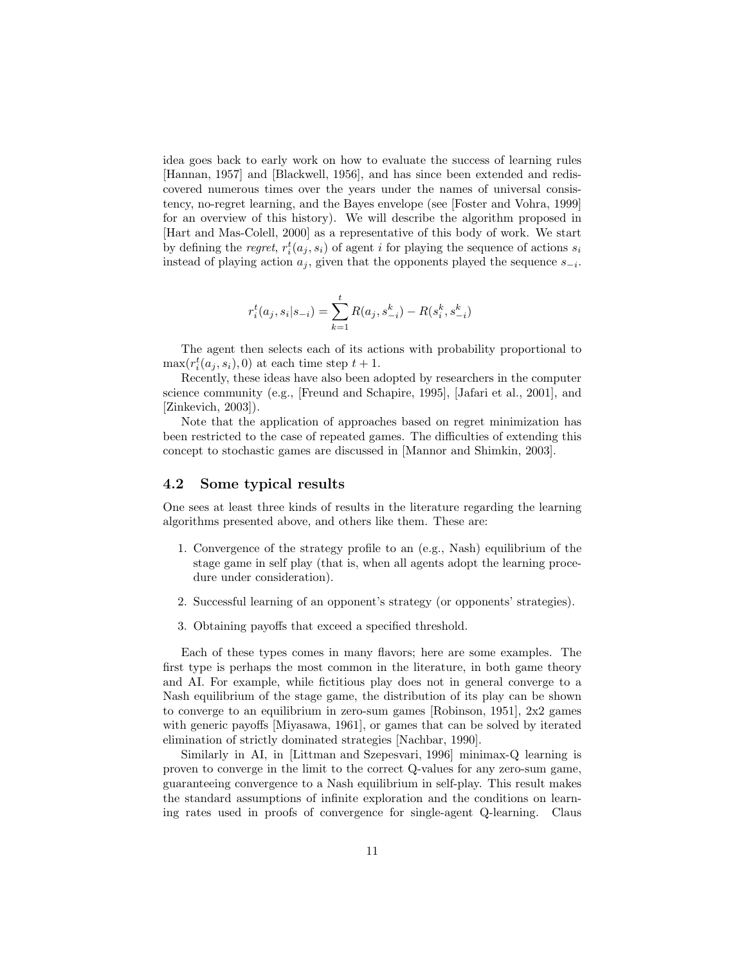idea goes back to early work on how to evaluate the success of learning rules [Hannan, 1957] and [Blackwell, 1956], and has since been extended and rediscovered numerous times over the years under the names of universal consistency, no-regret learning, and the Bayes envelope (see [Foster and Vohra, 1999] for an overview of this history). We will describe the algorithm proposed in [Hart and Mas-Colell, 2000] as a representative of this body of work. We start by defining the *regret*,  $r_i^t(a_j, s_i)$  of agent *i* for playing the sequence of actions  $s_i$ instead of playing action  $a_j$ , given that the opponents played the sequence  $s_{-i}$ .

$$
r_i^t(a_j, s_i|s_{-i}) = \sum_{k=1}^t R(a_j, s_{-i}^k) - R(s_i^k, s_{-i}^k)
$$

The agent then selects each of its actions with probability proportional to  $\max(r_i^t(a_j, s_i), 0)$  at each time step  $t + 1$ .

Recently, these ideas have also been adopted by researchers in the computer science community (e.g., [Freund and Schapire, 1995], [Jafari et al., 2001], and [Zinkevich, 2003]).

Note that the application of approaches based on regret minimization has been restricted to the case of repeated games. The difficulties of extending this concept to stochastic games are discussed in [Mannor and Shimkin, 2003].

### 4.2 Some typical results

One sees at least three kinds of results in the literature regarding the learning algorithms presented above, and others like them. These are:

- 1. Convergence of the strategy profile to an (e.g., Nash) equilibrium of the stage game in self play (that is, when all agents adopt the learning procedure under consideration).
- 2. Successful learning of an opponent's strategy (or opponents' strategies).
- 3. Obtaining payoffs that exceed a specified threshold.

Each of these types comes in many flavors; here are some examples. The first type is perhaps the most common in the literature, in both game theory and AI. For example, while fictitious play does not in general converge to a Nash equilibrium of the stage game, the distribution of its play can be shown to converge to an equilibrium in zero-sum games [Robinson, 1951], 2x2 games with generic payoffs [Miyasawa, 1961], or games that can be solved by iterated elimination of strictly dominated strategies [Nachbar, 1990].

Similarly in AI, in [Littman and Szepesvari, 1996] minimax-Q learning is proven to converge in the limit to the correct Q-values for any zero-sum game, guaranteeing convergence to a Nash equilibrium in self-play. This result makes the standard assumptions of infinite exploration and the conditions on learning rates used in proofs of convergence for single-agent Q-learning. Claus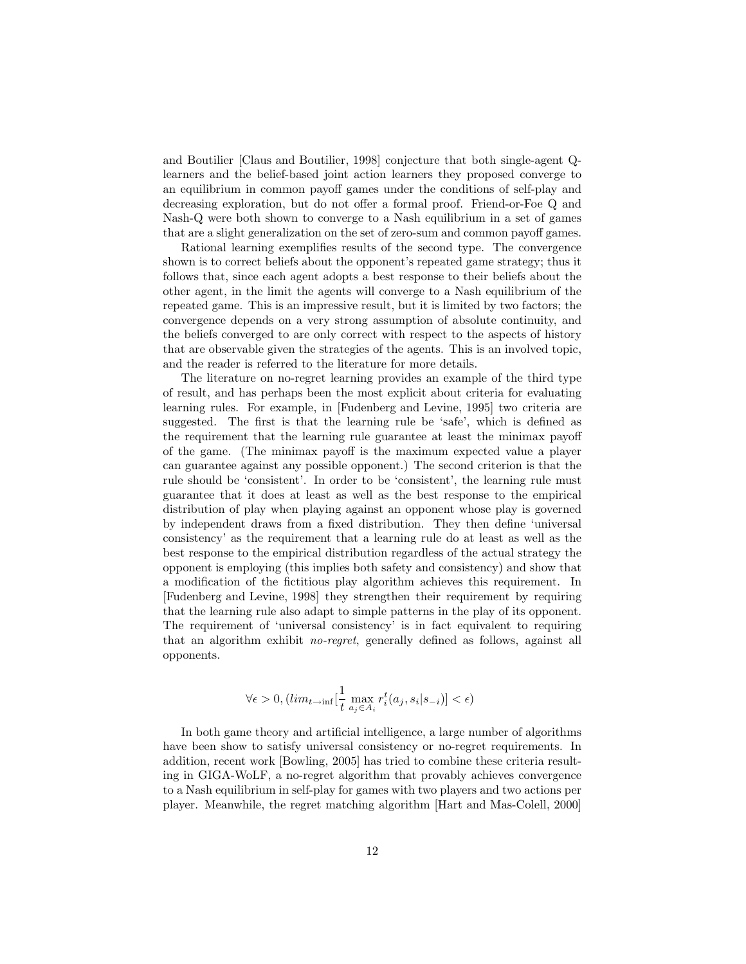and Boutilier [Claus and Boutilier, 1998] conjecture that both single-agent Qlearners and the belief-based joint action learners they proposed converge to an equilibrium in common payoff games under the conditions of self-play and decreasing exploration, but do not offer a formal proof. Friend-or-Foe Q and Nash-Q were both shown to converge to a Nash equilibrium in a set of games that are a slight generalization on the set of zero-sum and common payoff games.

Rational learning exemplifies results of the second type. The convergence shown is to correct beliefs about the opponent's repeated game strategy; thus it follows that, since each agent adopts a best response to their beliefs about the other agent, in the limit the agents will converge to a Nash equilibrium of the repeated game. This is an impressive result, but it is limited by two factors; the convergence depends on a very strong assumption of absolute continuity, and the beliefs converged to are only correct with respect to the aspects of history that are observable given the strategies of the agents. This is an involved topic, and the reader is referred to the literature for more details.

The literature on no-regret learning provides an example of the third type of result, and has perhaps been the most explicit about criteria for evaluating learning rules. For example, in [Fudenberg and Levine, 1995] two criteria are suggested. The first is that the learning rule be 'safe', which is defined as the requirement that the learning rule guarantee at least the minimax payoff of the game. (The minimax payoff is the maximum expected value a player can guarantee against any possible opponent.) The second criterion is that the rule should be 'consistent'. In order to be 'consistent', the learning rule must guarantee that it does at least as well as the best response to the empirical distribution of play when playing against an opponent whose play is governed by independent draws from a fixed distribution. They then define 'universal consistency' as the requirement that a learning rule do at least as well as the best response to the empirical distribution regardless of the actual strategy the opponent is employing (this implies both safety and consistency) and show that a modification of the fictitious play algorithm achieves this requirement. In [Fudenberg and Levine, 1998] they strengthen their requirement by requiring that the learning rule also adapt to simple patterns in the play of its opponent. The requirement of 'universal consistency' is in fact equivalent to requiring that an algorithm exhibit no-regret, generally defined as follows, against all opponents.

$$
\forall \epsilon > 0, (lim_{t \to \inf}[\frac{1}{t} \max_{a_j \in A_i} r_i^t(a_j, s_i | s_{-i})] < \epsilon)
$$

In both game theory and artificial intelligence, a large number of algorithms have been show to satisfy universal consistency or no-regret requirements. In addition, recent work [Bowling, 2005] has tried to combine these criteria resulting in GIGA-WoLF, a no-regret algorithm that provably achieves convergence to a Nash equilibrium in self-play for games with two players and two actions per player. Meanwhile, the regret matching algorithm [Hart and Mas-Colell, 2000]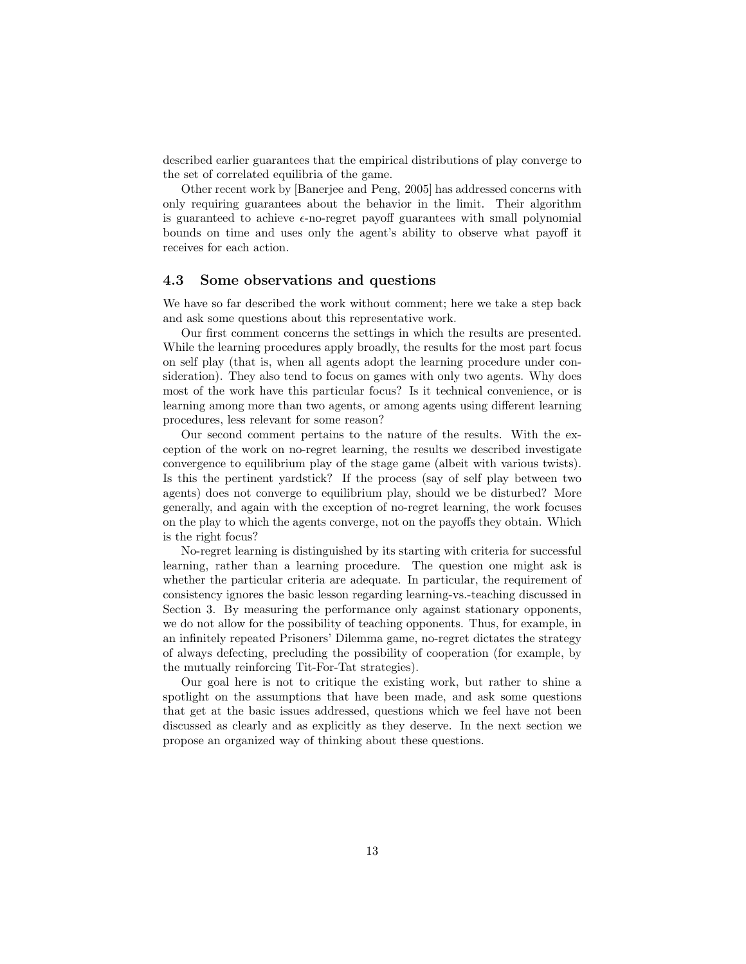described earlier guarantees that the empirical distributions of play converge to the set of correlated equilibria of the game.

Other recent work by [Banerjee and Peng, 2005] has addressed concerns with only requiring guarantees about the behavior in the limit. Their algorithm is guaranteed to achieve  $\epsilon$ -no-regret payoff guarantees with small polynomial bounds on time and uses only the agent's ability to observe what payoff it receives for each action.

### 4.3 Some observations and questions

We have so far described the work without comment; here we take a step back and ask some questions about this representative work.

Our first comment concerns the settings in which the results are presented. While the learning procedures apply broadly, the results for the most part focus on self play (that is, when all agents adopt the learning procedure under consideration). They also tend to focus on games with only two agents. Why does most of the work have this particular focus? Is it technical convenience, or is learning among more than two agents, or among agents using different learning procedures, less relevant for some reason?

Our second comment pertains to the nature of the results. With the exception of the work on no-regret learning, the results we described investigate convergence to equilibrium play of the stage game (albeit with various twists). Is this the pertinent yardstick? If the process (say of self play between two agents) does not converge to equilibrium play, should we be disturbed? More generally, and again with the exception of no-regret learning, the work focuses on the play to which the agents converge, not on the payoffs they obtain. Which is the right focus?

No-regret learning is distinguished by its starting with criteria for successful learning, rather than a learning procedure. The question one might ask is whether the particular criteria are adequate. In particular, the requirement of consistency ignores the basic lesson regarding learning-vs.-teaching discussed in Section 3. By measuring the performance only against stationary opponents, we do not allow for the possibility of teaching opponents. Thus, for example, in an infinitely repeated Prisoners' Dilemma game, no-regret dictates the strategy of always defecting, precluding the possibility of cooperation (for example, by the mutually reinforcing Tit-For-Tat strategies).

Our goal here is not to critique the existing work, but rather to shine a spotlight on the assumptions that have been made, and ask some questions that get at the basic issues addressed, questions which we feel have not been discussed as clearly and as explicitly as they deserve. In the next section we propose an organized way of thinking about these questions.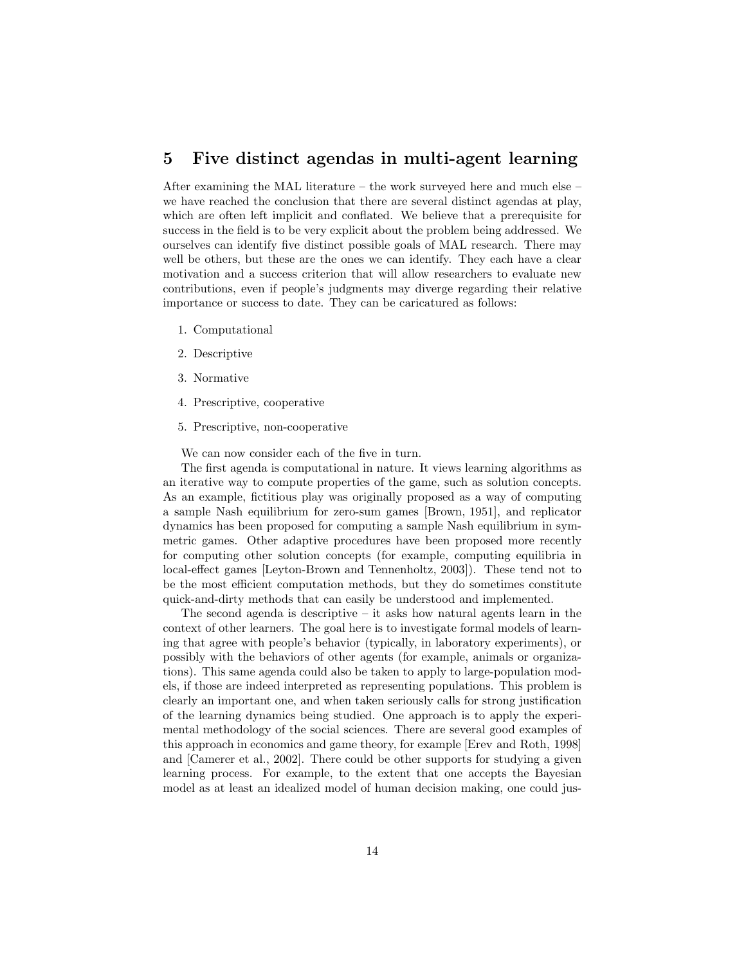### 5 Five distinct agendas in multi-agent learning

After examining the MAL literature – the work surveyed here and much else – we have reached the conclusion that there are several distinct agendas at play, which are often left implicit and conflated. We believe that a prerequisite for success in the field is to be very explicit about the problem being addressed. We ourselves can identify five distinct possible goals of MAL research. There may well be others, but these are the ones we can identify. They each have a clear motivation and a success criterion that will allow researchers to evaluate new contributions, even if people's judgments may diverge regarding their relative importance or success to date. They can be caricatured as follows:

- 1. Computational
- 2. Descriptive
- 3. Normative
- 4. Prescriptive, cooperative
- 5. Prescriptive, non-cooperative

We can now consider each of the five in turn.

The first agenda is computational in nature. It views learning algorithms as an iterative way to compute properties of the game, such as solution concepts. As an example, fictitious play was originally proposed as a way of computing a sample Nash equilibrium for zero-sum games [Brown, 1951], and replicator dynamics has been proposed for computing a sample Nash equilibrium in symmetric games. Other adaptive procedures have been proposed more recently for computing other solution concepts (for example, computing equilibria in local-effect games [Leyton-Brown and Tennenholtz, 2003]). These tend not to be the most efficient computation methods, but they do sometimes constitute quick-and-dirty methods that can easily be understood and implemented.

The second agenda is descriptive – it asks how natural agents learn in the context of other learners. The goal here is to investigate formal models of learning that agree with people's behavior (typically, in laboratory experiments), or possibly with the behaviors of other agents (for example, animals or organizations). This same agenda could also be taken to apply to large-population models, if those are indeed interpreted as representing populations. This problem is clearly an important one, and when taken seriously calls for strong justification of the learning dynamics being studied. One approach is to apply the experimental methodology of the social sciences. There are several good examples of this approach in economics and game theory, for example [Erev and Roth, 1998] and [Camerer et al., 2002]. There could be other supports for studying a given learning process. For example, to the extent that one accepts the Bayesian model as at least an idealized model of human decision making, one could jus-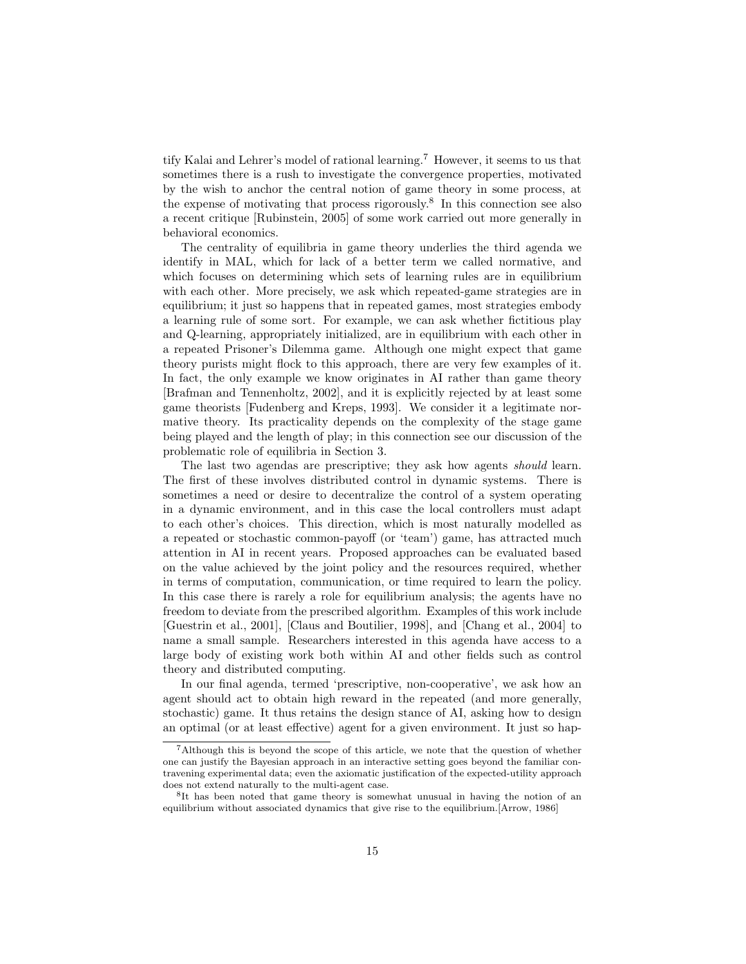tify Kalai and Lehrer's model of rational learning.<sup>7</sup> However, it seems to us that sometimes there is a rush to investigate the convergence properties, motivated by the wish to anchor the central notion of game theory in some process, at the expense of motivating that process rigorously.<sup>8</sup> In this connection see also a recent critique [Rubinstein, 2005] of some work carried out more generally in behavioral economics.

The centrality of equilibria in game theory underlies the third agenda we identify in MAL, which for lack of a better term we called normative, and which focuses on determining which sets of learning rules are in equilibrium with each other. More precisely, we ask which repeated-game strategies are in equilibrium; it just so happens that in repeated games, most strategies embody a learning rule of some sort. For example, we can ask whether fictitious play and Q-learning, appropriately initialized, are in equilibrium with each other in a repeated Prisoner's Dilemma game. Although one might expect that game theory purists might flock to this approach, there are very few examples of it. In fact, the only example we know originates in AI rather than game theory [Brafman and Tennenholtz, 2002], and it is explicitly rejected by at least some game theorists [Fudenberg and Kreps, 1993]. We consider it a legitimate normative theory. Its practicality depends on the complexity of the stage game being played and the length of play; in this connection see our discussion of the problematic role of equilibria in Section 3.

The last two agendas are prescriptive; they ask how agents *should* learn. The first of these involves distributed control in dynamic systems. There is sometimes a need or desire to decentralize the control of a system operating in a dynamic environment, and in this case the local controllers must adapt to each other's choices. This direction, which is most naturally modelled as a repeated or stochastic common-payoff (or 'team') game, has attracted much attention in AI in recent years. Proposed approaches can be evaluated based on the value achieved by the joint policy and the resources required, whether in terms of computation, communication, or time required to learn the policy. In this case there is rarely a role for equilibrium analysis; the agents have no freedom to deviate from the prescribed algorithm. Examples of this work include [Guestrin et al., 2001], [Claus and Boutilier, 1998], and [Chang et al., 2004] to name a small sample. Researchers interested in this agenda have access to a large body of existing work both within AI and other fields such as control theory and distributed computing.

In our final agenda, termed 'prescriptive, non-cooperative', we ask how an agent should act to obtain high reward in the repeated (and more generally, stochastic) game. It thus retains the design stance of AI, asking how to design an optimal (or at least effective) agent for a given environment. It just so hap-

<sup>7</sup>Although this is beyond the scope of this article, we note that the question of whether one can justify the Bayesian approach in an interactive setting goes beyond the familiar contravening experimental data; even the axiomatic justification of the expected-utility approach does not extend naturally to the multi-agent case.

<sup>&</sup>lt;sup>8</sup>It has been noted that game theory is somewhat unusual in having the notion of an equilibrium without associated dynamics that give rise to the equilibrium.[Arrow, 1986]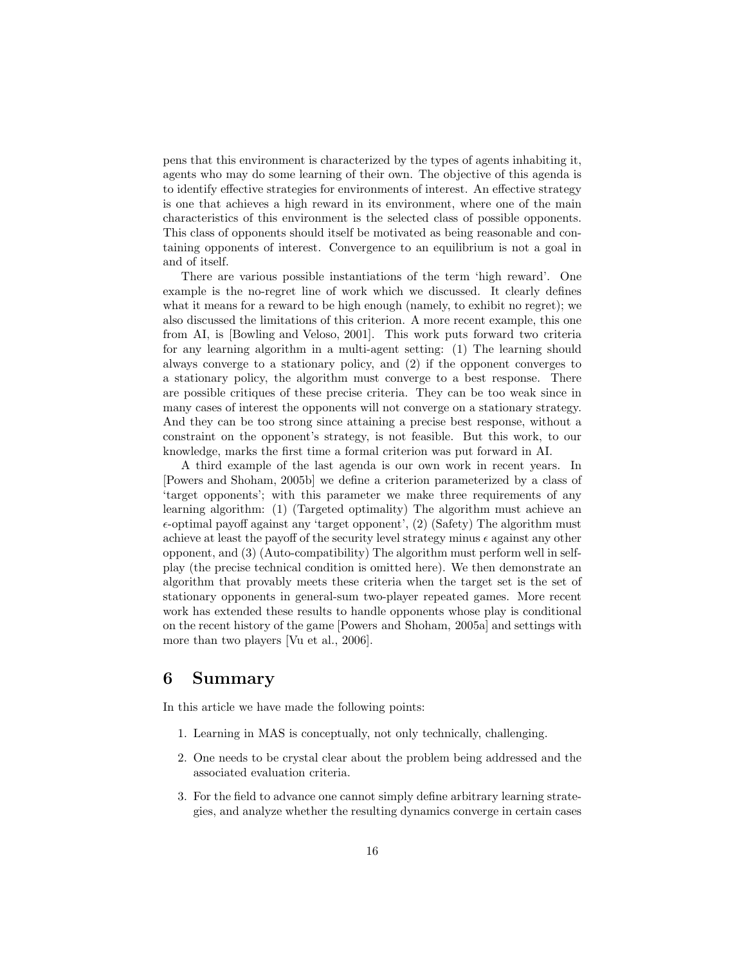pens that this environment is characterized by the types of agents inhabiting it, agents who may do some learning of their own. The objective of this agenda is to identify effective strategies for environments of interest. An effective strategy is one that achieves a high reward in its environment, where one of the main characteristics of this environment is the selected class of possible opponents. This class of opponents should itself be motivated as being reasonable and containing opponents of interest. Convergence to an equilibrium is not a goal in and of itself.

There are various possible instantiations of the term 'high reward'. One example is the no-regret line of work which we discussed. It clearly defines what it means for a reward to be high enough (namely, to exhibit no regret); we also discussed the limitations of this criterion. A more recent example, this one from AI, is [Bowling and Veloso, 2001]. This work puts forward two criteria for any learning algorithm in a multi-agent setting: (1) The learning should always converge to a stationary policy, and (2) if the opponent converges to a stationary policy, the algorithm must converge to a best response. There are possible critiques of these precise criteria. They can be too weak since in many cases of interest the opponents will not converge on a stationary strategy. And they can be too strong since attaining a precise best response, without a constraint on the opponent's strategy, is not feasible. But this work, to our knowledge, marks the first time a formal criterion was put forward in AI.

A third example of the last agenda is our own work in recent years. In [Powers and Shoham, 2005b] we define a criterion parameterized by a class of 'target opponents'; with this parameter we make three requirements of any learning algorithm: (1) (Targeted optimality) The algorithm must achieve an  $\epsilon$ -optimal payoff against any 'target opponent', (2) (Safety) The algorithm must achieve at least the payoff of the security level strategy minus  $\epsilon$  against any other opponent, and (3) (Auto-compatibility) The algorithm must perform well in selfplay (the precise technical condition is omitted here). We then demonstrate an algorithm that provably meets these criteria when the target set is the set of stationary opponents in general-sum two-player repeated games. More recent work has extended these results to handle opponents whose play is conditional on the recent history of the game [Powers and Shoham, 2005a] and settings with more than two players [Vu et al., 2006].

## 6 Summary

In this article we have made the following points:

- 1. Learning in MAS is conceptually, not only technically, challenging.
- 2. One needs to be crystal clear about the problem being addressed and the associated evaluation criteria.
- 3. For the field to advance one cannot simply define arbitrary learning strategies, and analyze whether the resulting dynamics converge in certain cases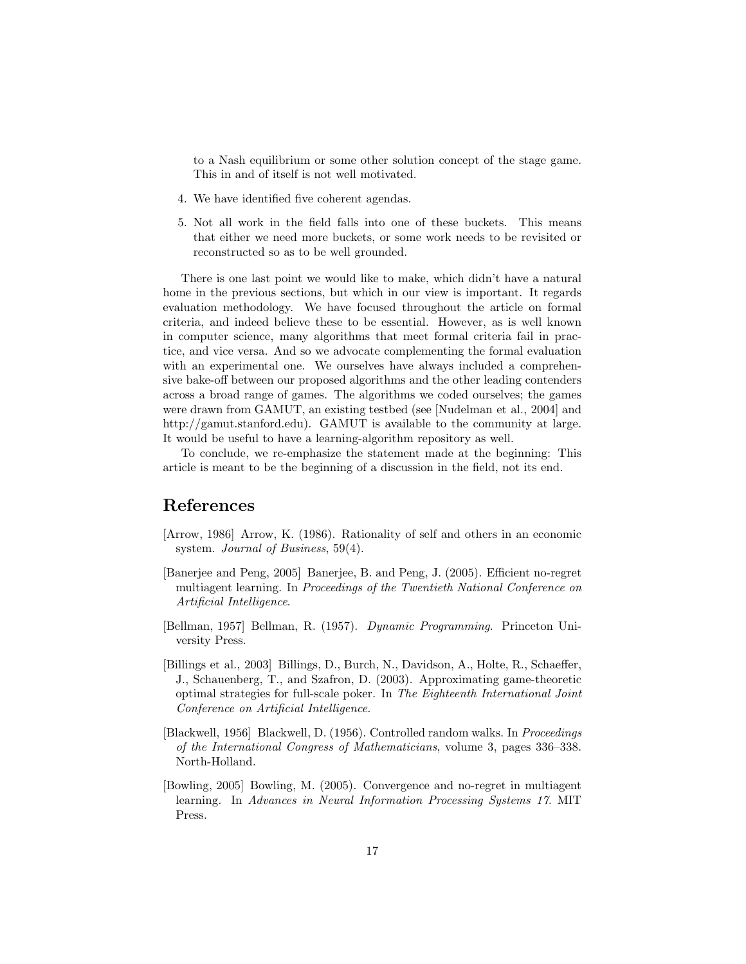to a Nash equilibrium or some other solution concept of the stage game. This in and of itself is not well motivated.

- 4. We have identified five coherent agendas.
- 5. Not all work in the field falls into one of these buckets. This means that either we need more buckets, or some work needs to be revisited or reconstructed so as to be well grounded.

There is one last point we would like to make, which didn't have a natural home in the previous sections, but which in our view is important. It regards evaluation methodology. We have focused throughout the article on formal criteria, and indeed believe these to be essential. However, as is well known in computer science, many algorithms that meet formal criteria fail in practice, and vice versa. And so we advocate complementing the formal evaluation with an experimental one. We ourselves have always included a comprehensive bake-off between our proposed algorithms and the other leading contenders across a broad range of games. The algorithms we coded ourselves; the games were drawn from GAMUT, an existing testbed (see [Nudelman et al., 2004] and http://gamut.stanford.edu). GAMUT is available to the community at large. It would be useful to have a learning-algorithm repository as well.

To conclude, we re-emphasize the statement made at the beginning: This article is meant to be the beginning of a discussion in the field, not its end.

### References

- [Arrow, 1986] Arrow, K. (1986). Rationality of self and others in an economic system. Journal of Business, 59(4).
- [Banerjee and Peng, 2005] Banerjee, B. and Peng, J. (2005). Efficient no-regret multiagent learning. In Proceedings of the Twentieth National Conference on Artificial Intelligence.
- [Bellman, 1957] Bellman, R. (1957). Dynamic Programming. Princeton University Press.
- [Billings et al., 2003] Billings, D., Burch, N., Davidson, A., Holte, R., Schaeffer, J., Schauenberg, T., and Szafron, D. (2003). Approximating game-theoretic optimal strategies for full-scale poker. In The Eighteenth International Joint Conference on Artificial Intelligence.
- [Blackwell, 1956] Blackwell, D. (1956). Controlled random walks. In Proceedings of the International Congress of Mathematicians, volume 3, pages 336–338. North-Holland.
- [Bowling, 2005] Bowling, M. (2005). Convergence and no-regret in multiagent learning. In Advances in Neural Information Processing Systems 17. MIT Press.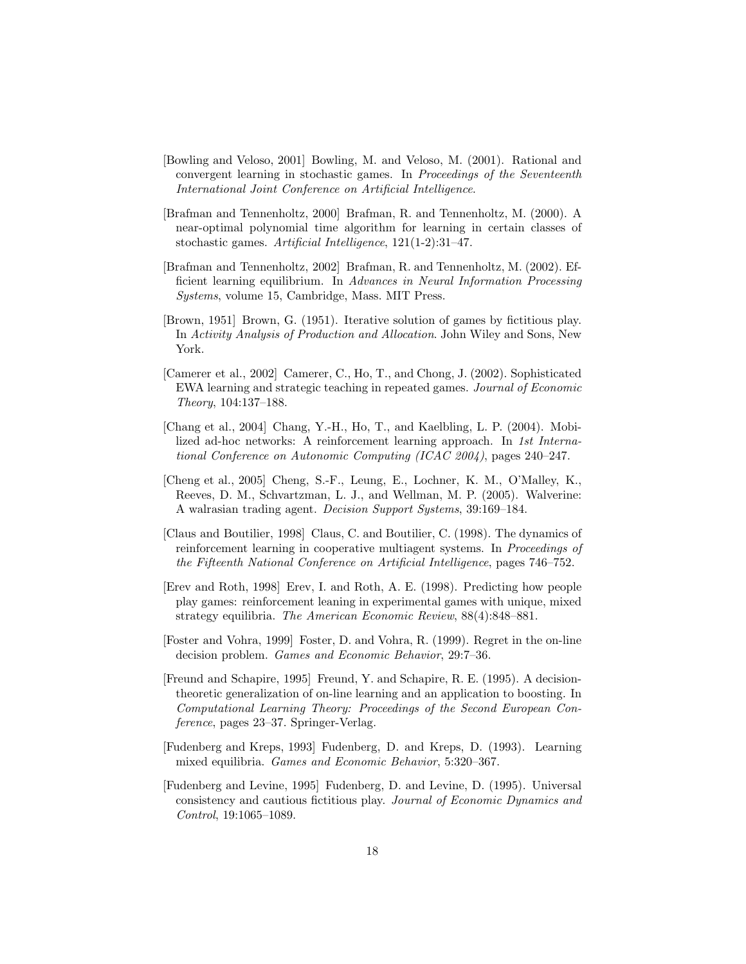- [Bowling and Veloso, 2001] Bowling, M. and Veloso, M. (2001). Rational and convergent learning in stochastic games. In Proceedings of the Seventeenth International Joint Conference on Artificial Intelligence.
- [Brafman and Tennenholtz, 2000] Brafman, R. and Tennenholtz, M. (2000). A near-optimal polynomial time algorithm for learning in certain classes of stochastic games. Artificial Intelligence, 121(1-2):31–47.
- [Brafman and Tennenholtz, 2002] Brafman, R. and Tennenholtz, M. (2002). Efficient learning equilibrium. In Advances in Neural Information Processing Systems, volume 15, Cambridge, Mass. MIT Press.
- [Brown, 1951] Brown, G. (1951). Iterative solution of games by fictitious play. In Activity Analysis of Production and Allocation. John Wiley and Sons, New York.
- [Camerer et al., 2002] Camerer, C., Ho, T., and Chong, J. (2002). Sophisticated EWA learning and strategic teaching in repeated games. Journal of Economic Theory, 104:137–188.
- [Chang et al., 2004] Chang, Y.-H., Ho, T., and Kaelbling, L. P. (2004). Mobilized ad-hoc networks: A reinforcement learning approach. In 1st International Conference on Autonomic Computing (ICAC 2004), pages 240–247.
- [Cheng et al., 2005] Cheng, S.-F., Leung, E., Lochner, K. M., O'Malley, K., Reeves, D. M., Schvartzman, L. J., and Wellman, M. P. (2005). Walverine: A walrasian trading agent. Decision Support Systems, 39:169–184.
- [Claus and Boutilier, 1998] Claus, C. and Boutilier, C. (1998). The dynamics of reinforcement learning in cooperative multiagent systems. In Proceedings of the Fifteenth National Conference on Artificial Intelligence, pages 746–752.
- [Erev and Roth, 1998] Erev, I. and Roth, A. E. (1998). Predicting how people play games: reinforcement leaning in experimental games with unique, mixed strategy equilibria. The American Economic Review, 88(4):848–881.
- [Foster and Vohra, 1999] Foster, D. and Vohra, R. (1999). Regret in the on-line decision problem. Games and Economic Behavior, 29:7–36.
- [Freund and Schapire, 1995] Freund, Y. and Schapire, R. E. (1995). A decisiontheoretic generalization of on-line learning and an application to boosting. In Computational Learning Theory: Proceedings of the Second European Conference, pages 23–37. Springer-Verlag.
- [Fudenberg and Kreps, 1993] Fudenberg, D. and Kreps, D. (1993). Learning mixed equilibria. Games and Economic Behavior, 5:320–367.
- [Fudenberg and Levine, 1995] Fudenberg, D. and Levine, D. (1995). Universal consistency and cautious fictitious play. Journal of Economic Dynamics and Control, 19:1065–1089.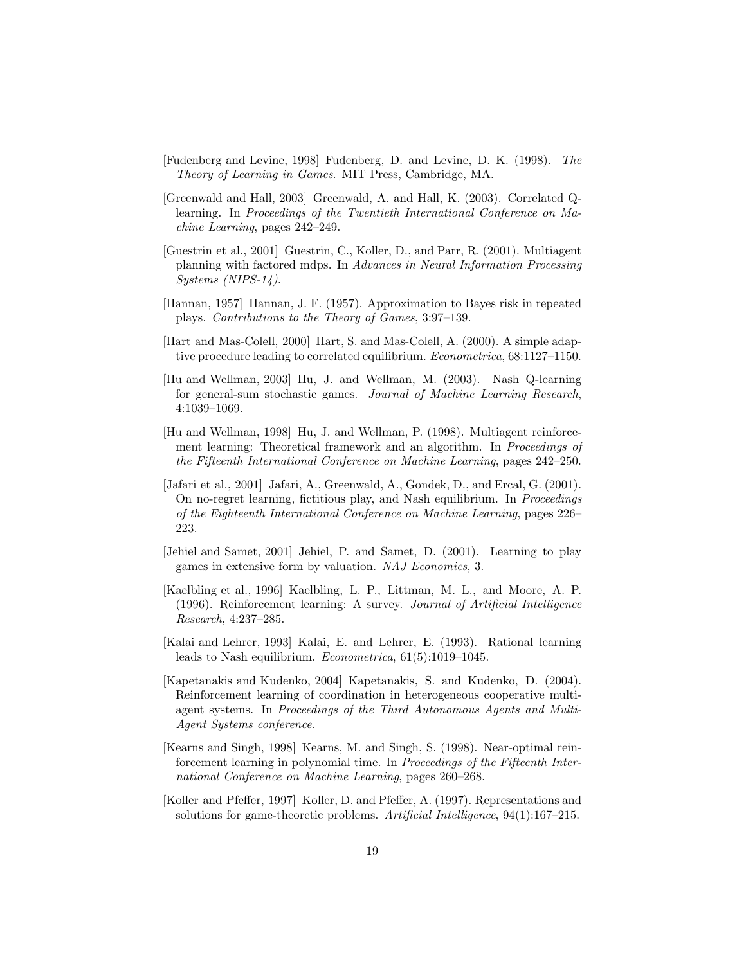- [Fudenberg and Levine, 1998] Fudenberg, D. and Levine, D. K. (1998). The Theory of Learning in Games. MIT Press, Cambridge, MA.
- [Greenwald and Hall, 2003] Greenwald, A. and Hall, K. (2003). Correlated Qlearning. In Proceedings of the Twentieth International Conference on Machine Learning, pages 242–249.
- [Guestrin et al., 2001] Guestrin, C., Koller, D., and Parr, R. (2001). Multiagent planning with factored mdps. In Advances in Neural Information Processing Systems (NIPS-14).
- [Hannan, 1957] Hannan, J. F. (1957). Approximation to Bayes risk in repeated plays. Contributions to the Theory of Games, 3:97–139.
- [Hart and Mas-Colell, 2000] Hart, S. and Mas-Colell, A. (2000). A simple adaptive procedure leading to correlated equilibrium. Econometrica, 68:1127–1150.
- [Hu and Wellman, 2003] Hu, J. and Wellman, M. (2003). Nash Q-learning for general-sum stochastic games. Journal of Machine Learning Research, 4:1039–1069.
- [Hu and Wellman, 1998] Hu, J. and Wellman, P. (1998). Multiagent reinforcement learning: Theoretical framework and an algorithm. In Proceedings of the Fifteenth International Conference on Machine Learning, pages 242–250.
- [Jafari et al., 2001] Jafari, A., Greenwald, A., Gondek, D., and Ercal, G. (2001). On no-regret learning, fictitious play, and Nash equilibrium. In Proceedings of the Eighteenth International Conference on Machine Learning, pages 226– 223.
- [Jehiel and Samet, 2001] Jehiel, P. and Samet, D. (2001). Learning to play games in extensive form by valuation. NAJ Economics, 3.
- [Kaelbling et al., 1996] Kaelbling, L. P., Littman, M. L., and Moore, A. P. (1996). Reinforcement learning: A survey. Journal of Artificial Intelligence Research, 4:237–285.
- [Kalai and Lehrer, 1993] Kalai, E. and Lehrer, E. (1993). Rational learning leads to Nash equilibrium. Econometrica, 61(5):1019–1045.
- [Kapetanakis and Kudenko, 2004] Kapetanakis, S. and Kudenko, D. (2004). Reinforcement learning of coordination in heterogeneous cooperative multiagent systems. In Proceedings of the Third Autonomous Agents and Multi-Agent Systems conference.
- [Kearns and Singh, 1998] Kearns, M. and Singh, S. (1998). Near-optimal reinforcement learning in polynomial time. In Proceedings of the Fifteenth International Conference on Machine Learning, pages 260–268.
- [Koller and Pfeffer, 1997] Koller, D. and Pfeffer, A. (1997). Representations and solutions for game-theoretic problems. Artificial Intelligence, 94(1):167–215.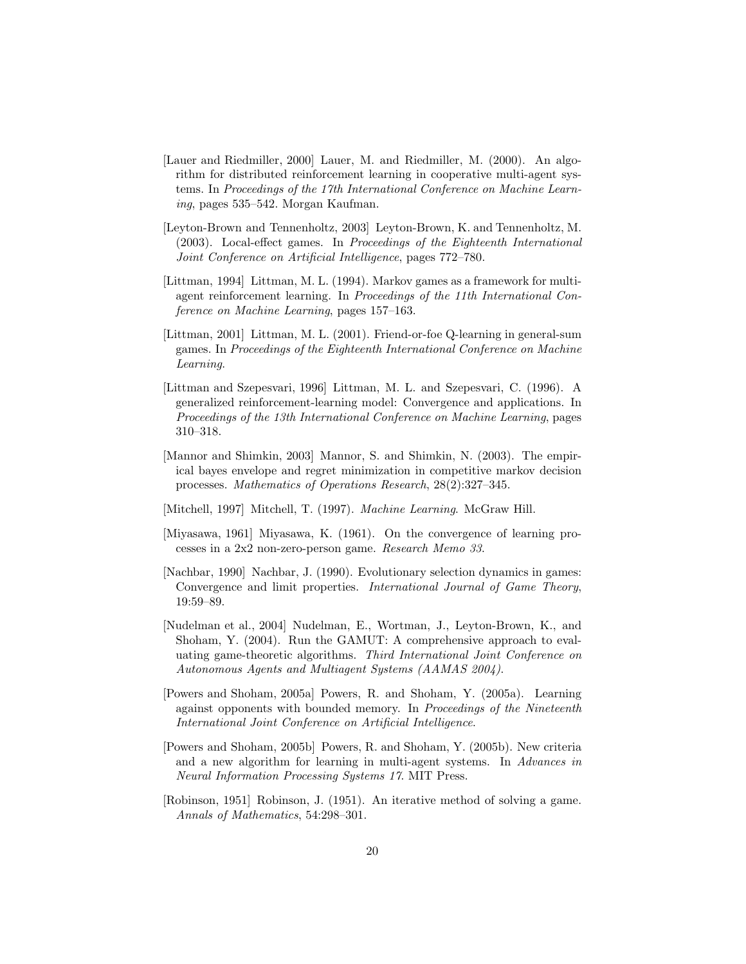- [Lauer and Riedmiller, 2000] Lauer, M. and Riedmiller, M. (2000). An algorithm for distributed reinforcement learning in cooperative multi-agent systems. In Proceedings of the 17th International Conference on Machine Learning, pages 535–542. Morgan Kaufman.
- [Leyton-Brown and Tennenholtz, 2003] Leyton-Brown, K. and Tennenholtz, M. (2003). Local-effect games. In Proceedings of the Eighteenth International Joint Conference on Artificial Intelligence, pages 772–780.
- [Littman, 1994] Littman, M. L. (1994). Markov games as a framework for multiagent reinforcement learning. In Proceedings of the 11th International Conference on Machine Learning, pages 157–163.
- [Littman, 2001] Littman, M. L. (2001). Friend-or-foe Q-learning in general-sum games. In Proceedings of the Eighteenth International Conference on Machine Learning.
- [Littman and Szepesvari, 1996] Littman, M. L. and Szepesvari, C. (1996). A generalized reinforcement-learning model: Convergence and applications. In Proceedings of the 13th International Conference on Machine Learning, pages 310–318.
- [Mannor and Shimkin, 2003] Mannor, S. and Shimkin, N. (2003). The empirical bayes envelope and regret minimization in competitive markov decision processes. Mathematics of Operations Research, 28(2):327–345.
- [Mitchell, 1997] Mitchell, T. (1997). *Machine Learning*. McGraw Hill.
- [Miyasawa, 1961] Miyasawa, K. (1961). On the convergence of learning processes in a 2x2 non-zero-person game. Research Memo 33.
- [Nachbar, 1990] Nachbar, J. (1990). Evolutionary selection dynamics in games: Convergence and limit properties. International Journal of Game Theory, 19:59–89.
- [Nudelman et al., 2004] Nudelman, E., Wortman, J., Leyton-Brown, K., and Shoham, Y. (2004). Run the GAMUT: A comprehensive approach to evaluating game-theoretic algorithms. Third International Joint Conference on Autonomous Agents and Multiagent Systems (AAMAS 2004).
- [Powers and Shoham, 2005a] Powers, R. and Shoham, Y. (2005a). Learning against opponents with bounded memory. In Proceedings of the Nineteenth International Joint Conference on Artificial Intelligence.
- [Powers and Shoham, 2005b] Powers, R. and Shoham, Y. (2005b). New criteria and a new algorithm for learning in multi-agent systems. In Advances in Neural Information Processing Systems 17. MIT Press.
- [Robinson, 1951] Robinson, J. (1951). An iterative method of solving a game. Annals of Mathematics, 54:298–301.